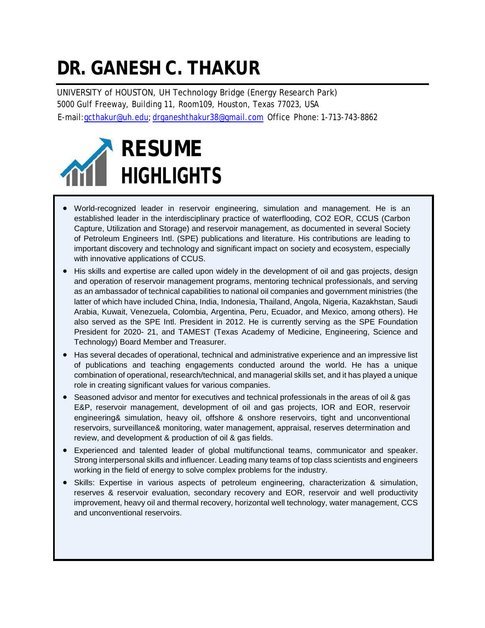# **DR. GANESH C. THAKUR**

UNIVERSITY of HOUSTON, UH Technology Bridge (Energy Research Park) 5000 Gulf Freeway, Building 11, Room109, Houston, Texas 77023, USA E-mail:gcthakur@uh.edu; [drganeshthakur38@gmail.com](mailto:drganeshthakur38@gmail.com) Office Phone: 1-713-743-8862



- World-recognized leader in reservoir engineering, simulation and management. He is an established leader in the interdisciplinary practice of waterflooding, CO2 EOR, CCUS (Carbon Capture, Utilization and Storage) and reservoir management, as documented in several Society of Petroleum Engineers Intl. (SPE) publications and literature. His contributions are leading to important discovery and technology and significant impact on society and ecosystem, especially with innovative applications of CCUS.
- His skills and expertise are called upon widely in the development of oil and gas projects, design and operation of reservoir management programs, mentoring technical professionals, and serving as an ambassador of technical capabilities to national oil companies and government ministries (the latter of which have included China, India, Indonesia, Thailand, Angola, Nigeria, Kazakhstan, Saudi Arabia, Kuwait, Venezuela, Colombia, Argentina, Peru, Ecuador, and Mexico, among others). He also served as the SPE Intl. President in 2012. He is currently serving as the SPE Foundation President for 2020- 21, and TAMEST (Texas Academy of Medicine, Engineering, Science and Technology) Board Member and Treasurer.
- Has several decades of operational, technical and administrative experience and an impressive list of publications and teaching engagements conducted around the world. He has a unique combination of operational, research/technical, and managerial skills set, and it has played a unique role in creating significant values for various companies.
- Seasoned advisor and mentor for executives and technical professionals in the areas of oil & gas E&P, reservoir management, development of oil and gas projects, IOR and EOR, reservoir engineering& simulation, heavy oil, offshore & onshore reservoirs, tight and unconventional reservoirs, surveillance& monitoring, water management, appraisal, reserves determination and review, and development & production of oil & gas fields.
- Experienced and talented leader of global multifunctional teams, communicator and speaker. Strong interpersonal skills and influencer. Leading many teams of top class scientists and engineers working in the field of energy to solve complex problems for the industry.
- Skills: Expertise in various aspects of petroleum engineering, characterization & simulation, reserves & reservoir evaluation, secondary recovery and EOR, reservoir and well productivity improvement, heavy oil and thermal recovery, horizontal well technology, water management, CCS and unconventional reservoirs.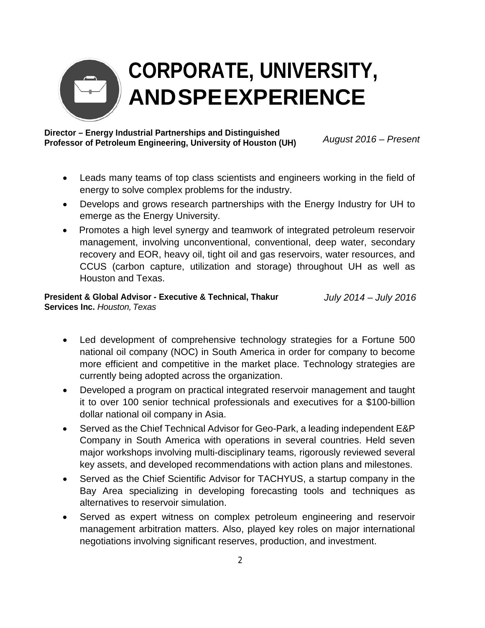

# **CORPORATE, UNIVERSITY, ANDSPEEXPERIENCE**

### **Director – Energy Industrial Partnerships and Distinguished Professor of Petroleum Engineering, University of Houston (UH)** *August 2016 – Present*

- Leads many teams of top class scientists and engineers working in the field of energy to solve complex problems for the industry.
- Develops and grows research partnerships with the Energy Industry for UH to emerge as the Energy University.
- Promotes a high level synergy and teamwork of integrated petroleum reservoir management, involving unconventional, conventional, deep water, secondary recovery and EOR, heavy oil, tight oil and gas reservoirs, water resources, and CCUS (carbon capture, utilization and storage) throughout UH as well as Houston and Texas.

#### **President & Global Advisor - Executive & Technical, Thakur Services Inc.** *Houston, Texas July 2014 – July 2016*

- Led development of comprehensive technology strategies for a Fortune 500 national oil company (NOC) in South America in order for company to become more efficient and competitive in the market place. Technology strategies are currently being adopted across the organization.
- Developed a program on practical integrated reservoir management and taught it to over 100 senior technical professionals and executives for a \$100-billion dollar national oil company in Asia.
- Served as the Chief Technical Advisor for Geo-Park, a leading independent E&P Company in South America with operations in several countries. Held seven major workshops involving multi-disciplinary teams, rigorously reviewed several key assets, and developed recommendations with action plans and milestones.
- Served as the Chief Scientific Advisor for TACHYUS, a startup company in the Bay Area specializing in developing forecasting tools and techniques as alternatives to reservoir simulation.
- Served as expert witness on complex petroleum engineering and reservoir management arbitration matters. Also, played key roles on major international negotiations involving significant reserves, production, and investment.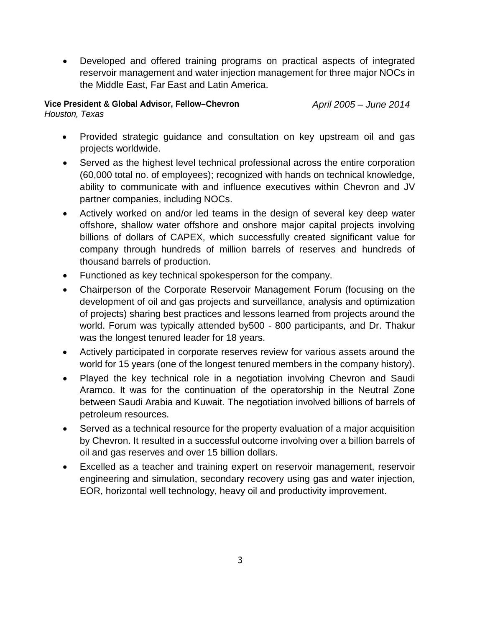• Developed and offered training programs on practical aspects of integrated reservoir management and water injection management for three major NOCs in the Middle East, Far East and Latin America.

#### **Vice President & Global Advisor, Fellow–Chevron** *Houston, Texas*

*April 2005 – June 2014*

- Provided strategic guidance and consultation on key upstream oil and gas projects worldwide.
- Served as the highest level technical professional across the entire corporation (60,000 total no. of employees); recognized with hands on technical knowledge, ability to communicate with and influence executives within Chevron and JV partner companies, including NOCs.
- Actively worked on and/or led teams in the design of several key deep water offshore, shallow water offshore and onshore major capital projects involving billions of dollars of CAPEX, which successfully created significant value for company through hundreds of million barrels of reserves and hundreds of thousand barrels of production.
- Functioned as key technical spokesperson for the company.
- Chairperson of the Corporate Reservoir Management Forum (focusing on the development of oil and gas projects and surveillance, analysis and optimization of projects) sharing best practices and lessons learned from projects around the world. Forum was typically attended by500 - 800 participants, and Dr. Thakur was the longest tenured leader for 18 years.
- Actively participated in corporate reserves review for various assets around the world for 15 years (one of the longest tenured members in the company history).
- Played the key technical role in a negotiation involving Chevron and Saudi Aramco. It was for the continuation of the operatorship in the Neutral Zone between Saudi Arabia and Kuwait. The negotiation involved billions of barrels of petroleum resources.
- Served as a technical resource for the property evaluation of a major acquisition by Chevron. It resulted in a successful outcome involving over a billion barrels of oil and gas reserves and over 15 billion dollars.
- Excelled as a teacher and training expert on reservoir management, reservoir engineering and simulation, secondary recovery using gas and water injection, EOR, horizontal well technology, heavy oil and productivity improvement.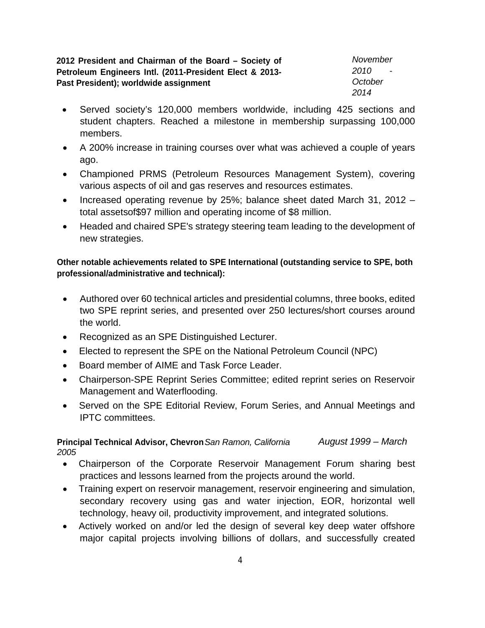**2012 President and Chairman of the Board – Society of Petroleum Engineers Intl. (2011-President Elect & 2013- Past President); worldwide assignment**

*November 2010 - October 2014*

- Served society's 120,000 members worldwide, including 425 sections and student chapters. Reached a milestone in membership surpassing 100,000 members.
- A 200% increase in training courses over what was achieved a couple of years ago.
- Championed PRMS (Petroleum Resources Management System), covering various aspects of oil and gas reserves and resources estimates.
- Increased operating revenue by 25%; balance sheet dated March 31, 2012 total assetsof\$97 million and operating income of \$8 million.
- Headed and chaired SPE's strategy steering team leading to the development of new strategies.

### **Other notable achievements related to SPE International (outstanding service to SPE, both professional/administrative and technical):**

- Authored over 60 technical articles and presidential columns, three books, edited two SPE reprint series, and presented over 250 lectures/short courses around the world.
- Recognized as an SPE Distinguished Lecturer.
- Elected to represent the SPE on the National Petroleum Council (NPC)
- Board member of AIME and Task Force Leader.
- Chairperson-SPE Reprint Series Committee; edited reprint series on Reservoir Management and Waterflooding.
- Served on the SPE Editorial Review, Forum Series, and Annual Meetings and IPTC committees.

### **Principal Technical Advisor, Chevron***San Ramon, California August 1999 – March 2005*

- Chairperson of the Corporate Reservoir Management Forum sharing best practices and lessons learned from the projects around the world.
- Training expert on reservoir management, reservoir engineering and simulation, secondary recovery using gas and water injection, EOR, horizontal well technology, heavy oil, productivity improvement, and integrated solutions.
- Actively worked on and/or led the design of several key deep water offshore major capital projects involving billions of dollars, and successfully created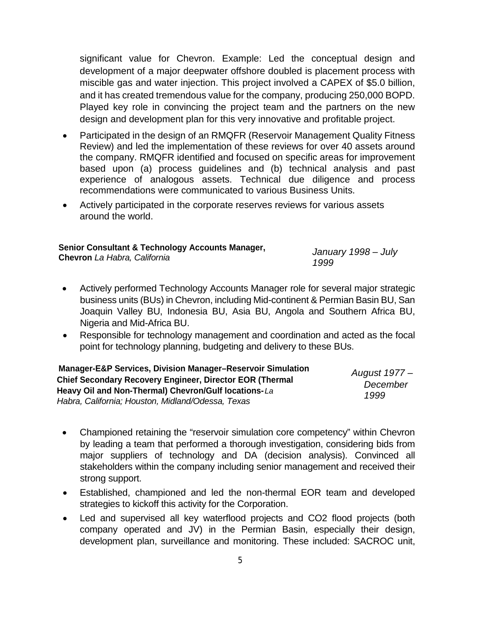significant value for Chevron. Example: Led the conceptual design and development of a major deepwater offshore doubled is placement process with miscible gas and water injection. This project involved a CAPEX of \$5.0 billion, and it has created tremendous value for the company, producing 250,000 BOPD. Played key role in convincing the project team and the partners on the new design and development plan for this very innovative and profitable project.

- Participated in the design of an RMQFR (Reservoir Management Quality Fitness Review) and led the implementation of these reviews for over 40 assets around the company. RMQFR identified and focused on specific areas for improvement based upon (a) process guidelines and (b) technical analysis and past experience of analogous assets. Technical due diligence and process recommendations were communicated to various Business Units.
- Actively participated in the corporate reserves reviews for various assets around the world.

### **Senior Consultant & Technology Accounts Manager,**

**Chevron** *La Habra, California January <sup>1998</sup> – July 1999*

- Actively performed Technology Accounts Manager role for several major strategic business units (BUs) in Chevron, including Mid-continent & Permian Basin BU, San Joaquin Valley BU, Indonesia BU, Asia BU, Angola and Southern Africa BU, Nigeria and Mid-Africa BU.
- Responsible for technology management and coordination and acted as the focal point for technology planning, budgeting and delivery to these BUs.

| <b>Manager-E&amp;P Services, Division Manager-Reservoir Simulation</b> | August 1977 –<br>December<br>1999 |
|------------------------------------------------------------------------|-----------------------------------|
| <b>Chief Secondary Recovery Engineer, Director EOR (Thermal</b>        |                                   |
| Heavy Oil and Non-Thermal) Chevron/Gulf locations-La                   |                                   |
| Habra, California; Houston, Midland/Odessa, Texas                      |                                   |

- Championed retaining the "reservoir simulation core competency" within Chevron by leading a team that performed a thorough investigation, considering bids from major suppliers of technology and DA (decision analysis). Convinced all stakeholders within the company including senior management and received their strong support.
- Established, championed and led the non-thermal EOR team and developed strategies to kickoff this activity for the Corporation.
- Led and supervised all key waterflood projects and CO2 flood projects (both company operated and JV) in the Permian Basin, especially their design, development plan, surveillance and monitoring. These included: SACROC unit,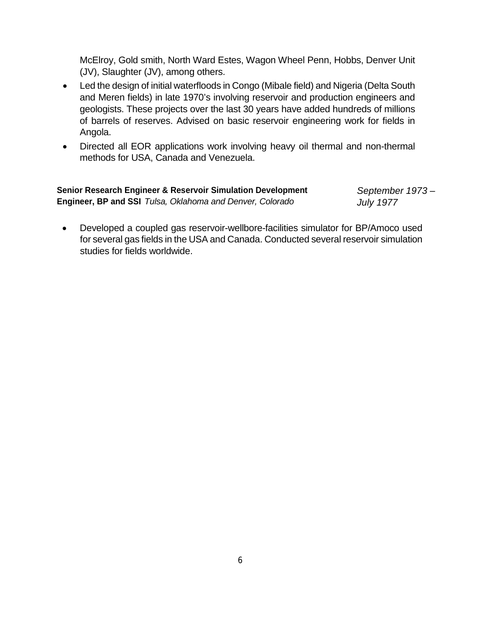McElroy, Gold smith, North Ward Estes, Wagon Wheel Penn, Hobbs, Denver Unit (JV), Slaughter (JV), among others.

- Led the design of initial waterfloods in Congo (Mibale field) and Nigeria (Delta South and Meren fields) in late 1970's involving reservoir and production engineers and geologists. These projects over the last 30 years have added hundreds of millions of barrels of reserves. Advised on basic reservoir engineering work for fields in Angola.
- Directed all EOR applications work involving heavy oil thermal and non-thermal methods for USA, Canada and Venezuela.

| <b>Senior Research Engineer &amp; Reservoir Simulation Development</b> | September 1973-  |
|------------------------------------------------------------------------|------------------|
| Engineer, BP and SSI Tulsa, Oklahoma and Denver, Colorado              | <b>July 1977</b> |

• Developed a coupled gas reservoir-wellbore-facilities simulator for BP/Amoco used for several gas fields in the USA and Canada. Conducted several reservoir simulation studies for fields worldwide.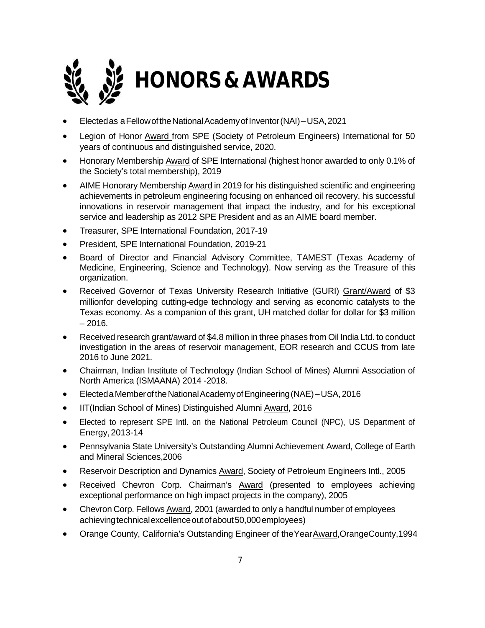

- Electedas aFellowoftheNationalAcademyofInventor(NAI)–USA,2021
- Legion of Honor Award from SPE (Society of Petroleum Engineers) International for 50 years of continuous and distinguished service, 2020.
- Honorary Membership Award of SPE International (highest honor awarded to only 0.1% of the Society's total membership), 2019
- AIME Honorary Membership Award in 2019 for his distinguished scientific and engineering achievements in petroleum engineering focusing on enhanced oil recovery, his successful innovations in reservoir management that impact the industry, and for his exceptional service and leadership as 2012 SPE President and as an AIME board member.
- Treasurer, SPE International Foundation, 2017-19
- President, SPE International Foundation, 2019-21
- Board of Director and Financial Advisory Committee, TAMEST (Texas Academy of Medicine, Engineering, Science and Technology). Now serving as the Treasure of this organization.
- Received Governor of Texas University Research Initiative (GURI) Grant/Award of \$3 millionfor developing cutting-edge technology and serving as economic catalysts to the Texas economy. As a companion of this grant, UH matched dollar for dollar for \$3 million  $-2016.$
- Received research grant/award of \$4.8 million in three phases from Oil India Ltd. to conduct investigation in the areas of reservoir management, EOR research and CCUS from late 2016 to June 2021.
- Chairman, Indian Institute of Technology (Indian School of Mines) Alumni Association of North America (ISMAANA) 2014 -2018.
- ElectedaMemberoftheNationalAcademyofEngineering(NAE)–USA,2016
- IIT(Indian School of Mines) Distinguished Alumni Award, 2016
- Elected to represent SPE Intl. on the National Petroleum Council (NPC), US Department of Energy,2013-14
- Pennsylvania State University's Outstanding Alumni Achievement Award, College of Earth and Mineral Sciences,2006
- Reservoir Description and Dynamics Award, Society of Petroleum Engineers Intl., 2005
- Received Chevron Corp. Chairman's Award (presented to employees achieving exceptional performance on high impact projects in the company), 2005
- Chevron Corp. Fellows Award, 2001 (awarded to only a handful number of employees achieving technical excellence out of about 50,000 employees)
- Orange County, California's Outstanding Engineer of theYearAward,OrangeCounty,1994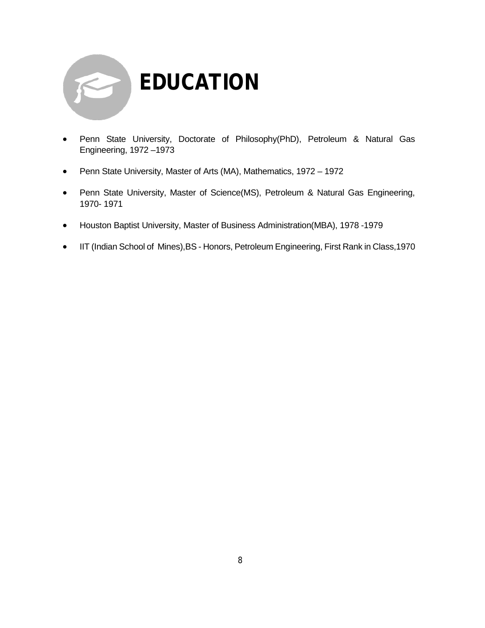

- Penn State University, Doctorate of Philosophy(PhD), Petroleum & Natural Gas Engineering, 1972 –1973
- Penn State University, Master of Arts (MA), Mathematics, 1972 1972
- Penn State University, Master of Science(MS), Petroleum & Natural Gas Engineering, 1970- 1971
- Houston Baptist University, Master of Business Administration(MBA), 1978 -1979
- IIT (Indian School of Mines),BS Honors, Petroleum Engineering, First Rank in Class,1970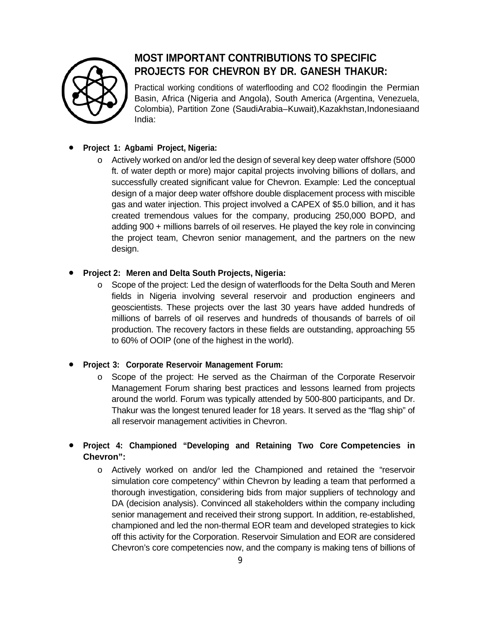

## **MOST IMPORTANT CONTRIBUTIONS TO SPECIFIC PROJECTS FOR CHEVRON BY DR. GANESH THAKUR:**

Practical working conditions of waterflooding and CO2 floodingin the Permian Basin, Africa (Nigeria and Angola), South America (Argentina, Venezuela, Colombia), Partition Zone (SaudiArabia–Kuwait),Kazakhstan,Indonesiaand India:

### • **Project 1: Agbami Project, Nigeria:**

o Actively worked on and/or led the design of several key deep water offshore (5000 ft. of water depth or more) major capital projects involving billions of dollars, and successfully created significant value for Chevron. Example: Led the conceptual design of a major deep water offshore double displacement process with miscible gas and water injection. This project involved a CAPEX of \$5.0 billion, and it has created tremendous values for the company, producing 250,000 BOPD, and adding 900 + millions barrels of oil reserves. He played the key role in convincing the project team, Chevron senior management, and the partners on the new design.

### • **Project 2: Meren and Delta South Projects, Nigeria:**

o Scope of the project: Led the design of waterfloods for the Delta South and Meren fields in Nigeria involving several reservoir and production engineers and geoscientists. These projects over the last 30 years have added hundreds of millions of barrels of oil reserves and hundreds of thousands of barrels of oil production. The recovery factors in these fields are outstanding, approaching 55 to 60% of OOIP (one of the highest in the world).

### • **Project 3: Corporate Reservoir Management Forum:**

o Scope of the project: He served as the Chairman of the Corporate Reservoir Management Forum sharing best practices and lessons learned from projects around the world. Forum was typically attended by 500-800 participants, and Dr. Thakur was the longest tenured leader for 18 years. It served as the "flag ship" of all reservoir management activities in Chevron.

### • **Project 4: Championed "Developing and Retaining Two Core Competencies in Chevron":**

o Actively worked on and/or led the Championed and retained the "reservoir simulation core competency" within Chevron by leading a team that performed a thorough investigation, considering bids from major suppliers of technology and DA (decision analysis). Convinced all stakeholders within the company including senior management and received their strong support. In addition, re-established, championed and led the non-thermal EOR team and developed strategies to kick off this activity for the Corporation. Reservoir Simulation and EOR are considered Chevron's core competencies now, and the company is making tens of billions of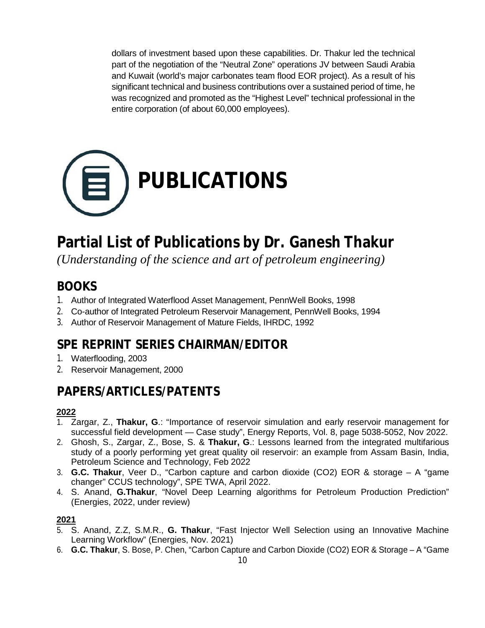dollars of investment based upon these capabilities. Dr. Thakur led the technical part of the negotiation of the "Neutral Zone" operations JV between Saudi Arabia and Kuwait (world's major carbonates team flood EOR project). As a result of his significant technical and business contributions over a sustained period of time, he was recognized and promoted as the "Highest Level" technical professional in the entire corporation (of about 60,000 employees).



# **Partial List of Publications by Dr. Ganesh Thakur**

*(Understanding of the science and art of petroleum engineering)*

## **BOOKS**

- 1. Author of Integrated Waterflood Asset Management, PennWell Books, 1998
- 2. Co-author of Integrated Petroleum Reservoir Management, PennWell Books, 1994
- 3. Author of Reservoir Management of Mature Fields, IHRDC, 1992

# **SPE REPRINT SERIES CHAIRMAN/EDITOR**

- 1. Waterflooding, 2003
- 2. Reservoir Management, 2000

# **PAPERS/ARTICLES/PATENTS**

### **2022**

- 1. Zargar, Z., **Thakur, G**.: "Importance of reservoir simulation and early reservoir management for successful field development — Case study", Energy Reports, Vol. 8, page 5038-5052, Nov 2022.
- 2. Ghosh, S., Zargar, Z., Bose, S. & **Thakur, G**.: Lessons learned from the integrated multifarious study of a poorly performing yet great quality oil reservoir: an example from Assam Basin, India, Petroleum Science and Technology, Feb 2022
- 3. **G.C. Thakur**, Veer D., "Carbon capture and carbon dioxide (CO2) EOR & storage A "game changer" CCUS technology", SPE TWA, April 2022.
- 4. S. Anand, **G.Thakur**, "Novel Deep Learning algorithms for Petroleum Production Prediction" (Energies, 2022, under review)

### **2021**

- 5. S. Anand, Z.Z, S.M.R., **G. Thakur**, "Fast Injector Well Selection using an Innovative Machine Learning Workflow" (Energies, Nov. 2021)
- 6. **G.C. Thakur**, S. Bose, P. Chen, "Carbon Capture and Carbon Dioxide (CO2) EOR & Storage A "Game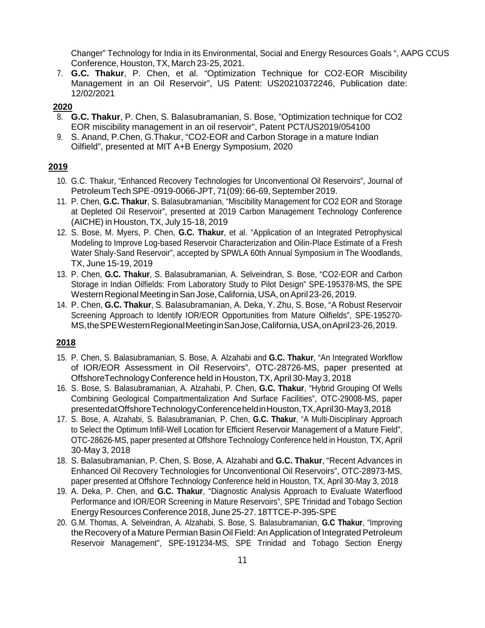Changer" Technology for India in its Environmental, Social and Energy Resources Goals ", AAPG CCUS Conference, Houston, TX, March 23-25, 2021.

7. **G.C. Thakur**, P. Chen, et al. "Optimization Technique for CO2-EOR Miscibility Management in an Oil Reservoir", US Patent: US20210372246, Publication date: 12/02/2021

#### **2020**

- 8. **G.C. Thakur**, P. Chen, S. Balasubramanian, S. Bose, "Optimization technique for CO2 EOR miscibility management in an oil reservoir", Patent PCT/US2019/054100
- 9. S. Anand, P.Chen, G.Thakur, "CO2-EOR and Carbon Storage in a mature Indian Oilfield", presented at MIT A+B Energy Symposium, 2020

#### **2019**

- 10. G.C. Thakur, "Enhanced Recovery Technologies for Unconventional Oil Reservoirs", Journal of Petroleum Tech SPE-0919-0066-JPT, 71(09): 66-69, September 2019.
- 11. P. Chen, **G.C. Thakur**, S. Balasubramanian, "Miscibility Management for CO2 EOR and Storage at Depleted Oil Reservoir", presented at 2019 Carbon Management Technology Conference (AICHE) in Houston, TX, July 15-18, 2019
- 12. S. Bose, M. Myers, P. Chen, **G.C. Thakur**, et al. "Application of an Integrated Petrophysical Modeling to Improve Log-based Reservoir Characterization and Oilin-Place Estimate of a Fresh Water Shaly-Sand Reservoir", accepted by SPWLA 60th Annual Symposium in The Woodlands, TX, June 15-19, 2019
- 13. P. Chen, **G.C. Thakur**, S. Balasubramanian, A. Selveindran, S. Bose, "CO2-EOR and Carbon Storage in Indian Oilfields: From Laboratory Study to Pilot Design" SPE-195378-MS, the SPE Western Regional Meeting in San Jose, California, USA, on April 23-26, 2019.
- 14. P. Chen, **G.C. Thakur**, S. Balasubramanian, A. Deka, Y. Zhu, S. Bose, "A Robust Reservoir Screening Approach to Identify IOR/EOR Opportunities from Mature Oilfields", SPE-195270- MS,theSPEWesternRegionalMeetinginSanJose,California,USA,onApril23-26,2019.

### **2018**

- 15. P. Chen, S. Balasubramanian, S. Bose, A. Alzahabi and **G.C. Thakur**, "An Integrated Workflow of IOR/EOR Assessment in Oil Reservoirs", OTC-28726-MS, paper presented at OffshoreTechnology Conference held in Houston, TX, April 30-May 3, 2018
- 16. S. Bose, S. Balasubramanian, A. Alzahabi, P. Chen, **G.C. Thakur**, "Hybrid Grouping Of Wells Combining Geological Compartmentalization And Surface Facilities", OTC-29008-MS, paper presentedatOffshoreTechnologyConferenceheldinHouston,TX,April30-May3,2018
- 17. S. Bose, A. Alzahabi, S. Balasubramanian, P. Chen, **G.C. Thakur**, "A Multi-Disciplinary Approach to Select the Optimum Infill-Well Location for Efficient Reservoir Management of a Mature Field", OTC-28626-MS, paper presented at Offshore Technology Conference held in Houston, TX,April 30-May 3, 2018
- 18. S. Balasubramanian, P. Chen, S. Bose, A. Alzahabi and **G.C. Thakur**, "Recent Advances in Enhanced Oil Recovery Technologies for Unconventional Oil Reservoirs", OTC-28973-MS, paper presented at Offshore Technology Conference held in Houston, TX, April 30-May 3, 2018
- 19. A. Deka, P. Chen, and **G.C. Thakur**, "Diagnostic Analysis Approach to Evaluate Waterflood Performance and IOR/EOR Screening in Mature Reservoirs", SPE Trinidad and Tobago Section EnergyResources Conference 2018, June 25-27. 18TTCE-P-395-SPE
- 20. G.M. Thomas, A. Selveindran, A. Alzahabi, S. Bose, S. Balasubramanian, **G.C Thakur**, "Improving the Recovery of a Mature Permian Basin Oil Field: An Application of Integrated Petroleum Reservoir Management", SPE-191234-MS, SPE Trinidad and Tobago Section Energy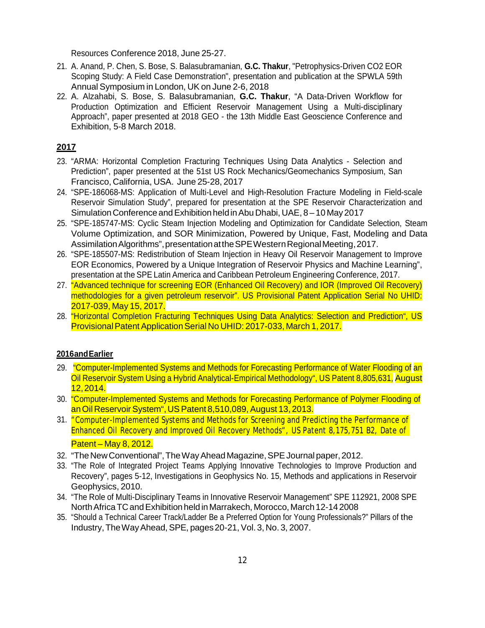Resources Conference 2018, June 25-27.

- 21. A. Anand, P. Chen, S. Bose, S. Balasubramanian, **G.C. Thakur**, "Petrophysics-Driven CO2 EOR Scoping Study: A Field Case Demonstration", presentation and publication at the SPWLA 59th Annual Symposium in London, UK on June 2-6, 2018
- 22. A. Alzahabi, S. Bose, S. Balasubramanian, **G.C. Thakur**, "A Data-Driven Workflow for Production Optimization and Efficient Reservoir Management Using a Multi-disciplinary Approach", paper presented at 2018 GEO - the 13th Middle East Geoscience Conference and Exhibition, 5-8 March 2018.

### **2017**

- 23. "ARMA: Horizontal Completion Fracturing Techniques Using Data Analytics Selection and Prediction", paper presented at the 51st US Rock Mechanics/Geomechanics Symposium, San Francisco, California, USA. June 25-28, 2017
- 24. "SPE-186068-MS: Application of Multi-Level and High-Resolution Fracture Modeling in Field-scale Reservoir Simulation Study", prepared for presentation at the SPE Reservoir Characterization and Simulation Conference and Exhibition held in Abu Dhabi, UAE, 8 - 10 May 2017
- 25. "SPE-185747-MS: Cyclic Steam Injection Modeling and Optimization for Candidate Selection, Steam Volume Optimization, and SOR Minimization, Powered by Unique, Fast, Modeling and Data Assimilation Algorithms", presentation at the SPE Western Regional Meeting, 2017.
- 26. "SPE-185507-MS: Redistribution of Steam Injection in Heavy Oil Reservoir Management to Improve EOR Economics, Powered by a Unique Integration of Reservoir Physics and Machine Learning", presentation at the SPE Latin America and Caribbean Petroleum Engineering Conference, 2017.
- 27. "Advanced technique for screening EOR (Enhanced Oil Recovery) and IOR (Improved Oil Recovery) methodologies for a given petroleum reservoir". US Provisional Patent Application Serial No UHID: 2017-039, May 15, 2017.
- 28. "Horizontal Completion Fracturing Techniques Using Data Analytics: Selection and Prediction", US Provisional Patent Application Serial No UHID: 2017-033, March 1, 2017.

#### **2016andEarlier**

- 29. "Computer-Implemented Systems and Methods for Forecasting Performance of Water Flooding of an Oil Reservoir System Using a Hybrid Analytical-Empirical Methodology", US Patent 8,805,631, August 12,2014.
- 30. "Computer-Implemented Systems and Methods for Forecasting Performance of Polymer Flooding of an Oil Reservoir System", US Patent 8,510,089, August 13, 2013.
- 31. "Computer-Implemented Systems and Methods for Screening and Predicting the Performance of Patent – May 8, 2012. Enhanced Oil Recovery and Improved Oil Recovery Methods", US Patent 8,175,751 B2, Date of
- 32. "The New Conventional", The Way Ahead Magazine, SPE Journal paper, 2012.
- 33. "The Role of Integrated Project Teams Applying Innovative Technologies to Improve Production and Recovery", pages 5-12, Investigations in Geophysics No. 15, Methods and applications in Reservoir Geophysics, 2010.
- 34. "The Role of Multi-Disciplinary Teams in Innovative Reservoir Management" SPE 112921, 2008 SPE North Africa TC and Exhibition held in Marrakech, Morocco, March 12-14 2008
- 35. "Should a Technical Career Track/Ladder Be a Preferred Option for Young Professionals?" Pillars of the Industry,TheWayAhead,SPE, pages20-21, Vol. 3, No. 3, 2007.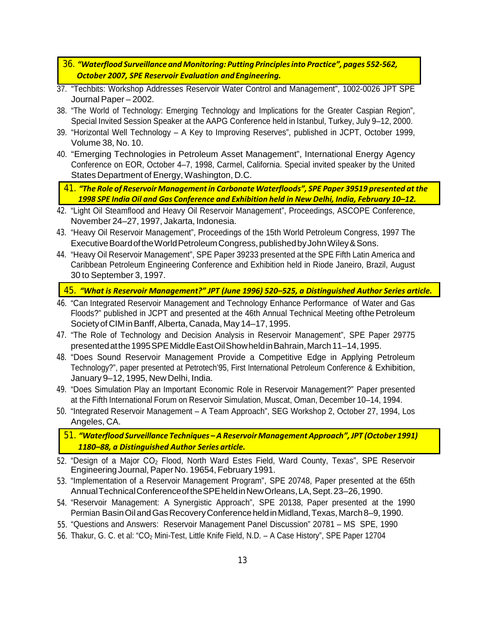- 36. *"Waterflood Surveillance and Monitoring: Putting Principlesinto Practice", pages 552-562, October 2007, SPE Reservoir Evaluation and Engineering.*
- 37. "Techbits: Workshop Addresses Reservoir Water Control and Management", 1002-0026 JPT SPE Journal Paper – 2002.
- 38. "The World of Technology: Emerging Technology and Implications for the Greater Caspian Region", Special Invited Session Speaker at the AAPG Conference held in Istanbul, Turkey, July 9–12, 2000.
- 39. "Horizontal Well Technology A Key to Improving Reserves", published in JCPT, October 1999, Volume 38, No. 10.
- 40. "Emerging Technologies in Petroleum Asset Management", International Energy Agency Conference on EOR, October 4–7, 1998, Carmel, California. Special invited speaker by the United States Department of Energy, Washington, D.C.

41. *"The Role of Reservoir Managementin CarbonateWaterfloods", SPE Paper 39519 presented at the 1998 SPE India Oil and Gas Conference and Exhibition held in New Delhi, India, February 10–12.*

- 42. "Light Oil Steamflood and Heavy Oil Reservoir Management", Proceedings, ASCOPE Conference, November 24–27, 1997, Jakarta, Indonesia.
- 43. "Heavy Oil Reservoir Management", Proceedings of the 15th World Petroleum Congress, 1997 The Executive Board of the World Petroleum Congress, published by John Wiley & Sons.
- 44. "Heavy Oil Reservoir Management", SPE Paper 39233 presented at the SPE Fifth Latin America and Caribbean Petroleum Engineering Conference and Exhibition held in Riode Janeiro, Brazil, August 30 to September 3, 1997.

45. *"What is Reservoir Management?" JPT (June 1996) 520–525, a Distinguished Author Series article.*

- 46. "Can Integrated Reservoir Management and Technology Enhance Performance of Water and Gas Floods?" published in JCPT and presented at the 46th Annual Technical Meeting ofthe Petroleum Society of CIM in Banff, Alberta, Canada, May 14–17, 1995.
- 47. "The Role of Technology and Decision Analysis in Reservoir Management", SPE Paper 29775 presented at the 1995 SPE Middle East Oil Show held in Bahrain, March 11–14, 1995.
- 48. "Does Sound Reservoir Management Provide a Competitive Edge in Applying Petroleum Technology?", paper presented at Petrotech'95, First International Petroleum Conference & Exhibition, January 9–12, 1995, New Delhi, India.
- 49. "Does Simulation Play an Important Economic Role in Reservoir Management?" Paper presented at the Fifth International Forum on Reservoir Simulation, Muscat, Oman, December 10–14, 1994.
- 50. "Integrated Reservoir Management A Team Approach", SEG Workshop 2, October 27, 1994, Los Angeles, CA.

51. *"Waterflood Surveillance Techniques – A ReservoirManagement Approach",JPT (October 1991) 1180–88, a Distinguished Author Series article.*

- 52. "Design of a Major CO<sub>2</sub> Flood, North Ward Estes Field, Ward County, Texas", SPE Reservoir Engineering Journal, Paper No. 19654, February 1991.
- 53. "Implementation of a Reservoir Management Program", SPE 20748, Paper presented at the 65th AnnualTechnicalConferenceoftheSPEheldinNewOrleans,LA,Sept.23–26,1990.
- 54. "Reservoir Management: A Synergistic Approach", SPE 20138, Paper presented at the 1990 Permian Basin Oil and Gas Recovery Conference held in Midland, Texas, March 8–9, 1990.
- 55. "Questions and Answers: Reservoir Management Panel Discussion" 20781 MS SPE, 1990
- 56. Thakur, G. C. et al: "CO2 Mini-Test, Little Knife Field, N.D. A Case History", SPE Paper 12704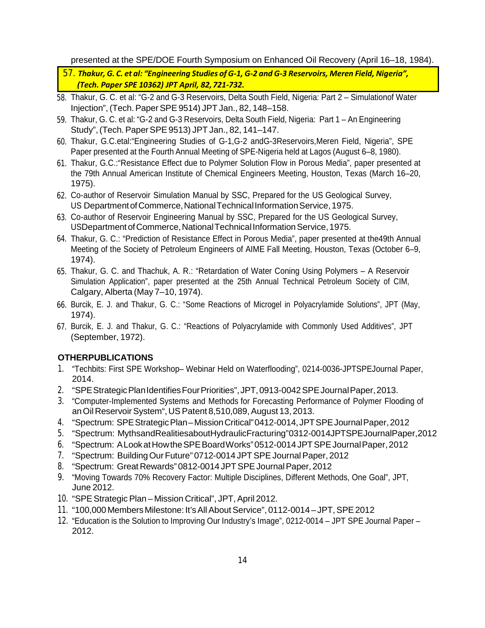presented at the SPE/DOE Fourth Symposium on Enhanced Oil Recovery (April 16–18, 1984).

57. *Thakur, G. C. et al: "Engineering Studies of G-1, G-2 and G-3 Reservoirs, Meren Field, Nigeria", (Tech. Paper SPE 10362) JPT April, 82,721-732.*

- 58. Thakur, G. C. et al: "G-2 and G-3 Reservoirs, Delta South Field, Nigeria: Part 2 Simulationof Water Injection",(Tech.PaperSPE9514) JPT Jan., 82, 148–158.
- 59. Thakur, G. C. et al: "G-2 and G-3 Reservoirs, Delta South Field, Nigeria: Part 1 An Engineering Study",(Tech. PaperSPE9513) JPT Jan., 82, 141–147.
- 60. Thakur, G.C.etal:"Engineering Studies of G-1,G-2 andG-3Reservoirs,Meren Field, Nigeria", SPE Paper presented at the Fourth Annual Meeting of SPE-Nigeria held at Lagos (August 6–8, 1980).
- 61. Thakur, G.C.:"Resistance Effect due to Polymer Solution Flow in Porous Media", paper presented at the 79th Annual American Institute of Chemical Engineers Meeting, Houston, Texas (March 16–20, 1975).
- 62. Co-author of Reservoir Simulation Manual by SSC, Prepared for the US Geological Survey, US Department of Commerce, National Technical Information Service, 1975.
- 63. Co-author of Reservoir Engineering Manual by SSC, Prepared for the US Geological Survey, USDepartment of Commerce, National Technical Information Service, 1975.
- 64. Thakur, G. C.: "Prediction of Resistance Effect in Porous Media", paper presented at the49th Annual Meeting of the Society of Petroleum Engineers of AIME Fall Meeting, Houston, Texas (October 6–9, 1974).
- 65. Thakur, G. C. and Thachuk, A. R.: "Retardation of Water Coning Using Polymers A Reservoir Simulation Application", paper presented at the 25th Annual Technical Petroleum Society of CIM, Calgary, Alberta (May 7–10, 1974).
- 66. Burcik, E. J. and Thakur, G. C.: "Some Reactions of Microgel in Polyacrylamide Solutions", JPT (May, 1974).
- 67. Burcik, E. J. and Thakur, G. C.: "Reactions of Polyacrylamide with Commonly Used Additives", JPT (September, 1972).

### **OTHERPUBLICATIONS**

- 1. "Techbits: First SPE Workshop– Webinar Held on Waterflooding", 0214-0036-JPTSPEJournal Paper, 2014.
- 2. "SPE Strategic Plan Identifies Four Priorities", JPT, 0913-0042 SPE Journal Paper, 2013.
- 3. "Computer-Implemented Systems and Methods for Forecasting Performance of Polymer Flooding of an Oil Reservoir System", US Patent 8,510,089, August 13, 2013.
- 4. "Spectrum: SPEStrategicPlan–MissionCritical"0412-0014,JPTSPEJournalPaper,2012
- 5. "Spectrum: MythsandRealitiesaboutHydraulicFracturing"0312-0014JPTSPEJournalPaper,2012
- 6. "Spectrum: A Look at How the SPE Board Works" 0512-0014 JPT SPE Journal Paper, 2012
- 7. "Spectrum: Building Our Future" 0712-0014 JPT SPE Journal Paper, 2012
- 8. "Spectrum: Great Rewards" 0812-0014 JPT SPE Journal Paper, 2012
- 9. "Moving Towards 70% Recovery Factor: Multiple Disciplines, Different Methods, One Goal", JPT, June 2012.
- 10. "SPE Strategic Plan Mission Critical", JPT, April 2012.
- 11. "100,000 Members Milestone: It's All About Service", 0112-0014 JPT, SPE 2012
- 12. "Education is the Solution to Improving Our Industry's Image", 0212-0014 JPT SPE Journal Paper 2012.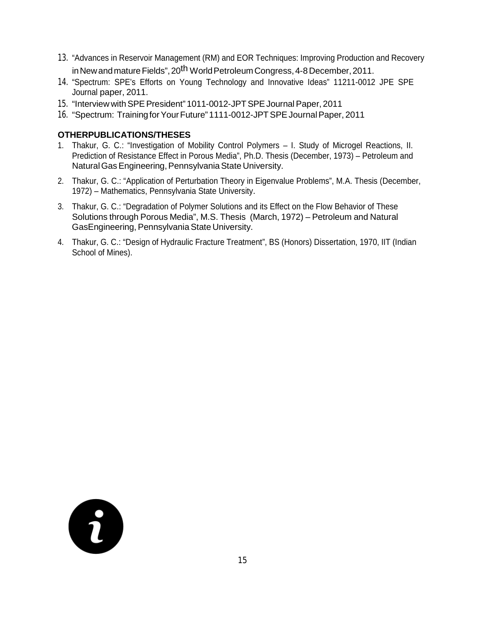- 13. "Advances in Reservoir Management (RM) and EOR Techniques: Improving Production and Recovery in New and mature Fields", 20<sup>th</sup> World Petroleum Congress, 4-8 December, 2011.
- 14. "Spectrum: SPE's Efforts on Young Technology and Innovative Ideas" 11211-0012 JPE SPE Journal paper, 2011.
- 15. "Interview with SPE President" 1011-0012-JPT SPE Journal Paper, 2011
- 16. "Spectrum: TrainingforYourFuture"1111-0012-JPTSPEJournalPaper, 2011

### **OTHERPUBLICATIONS/THESES**

- 1. Thakur, G. C.: "Investigation of Mobility Control Polymers I. Study of Microgel Reactions, II. Prediction of Resistance Effect in Porous Media", Ph.D. Thesis (December, 1973) – Petroleum and Natural Gas Engineering, Pennsylvania State University.
- 2. Thakur, G. C.: "Application of Perturbation Theory in Eigenvalue Problems", M.A. Thesis (December, 1972) – Mathematics, Pennsylvania State University.
- 3. Thakur, G. C.: "Degradation of Polymer Solutions and its Effect on the Flow Behavior of These Solutions through Porous Media", M.S. Thesis (March, 1972) – Petroleum and Natural GasEngineering, PennsylvaniaState University.
- 4. Thakur, G. C.: "Design of Hydraulic Fracture Treatment", BS (Honors) Dissertation, 1970, IIT (Indian School of Mines).

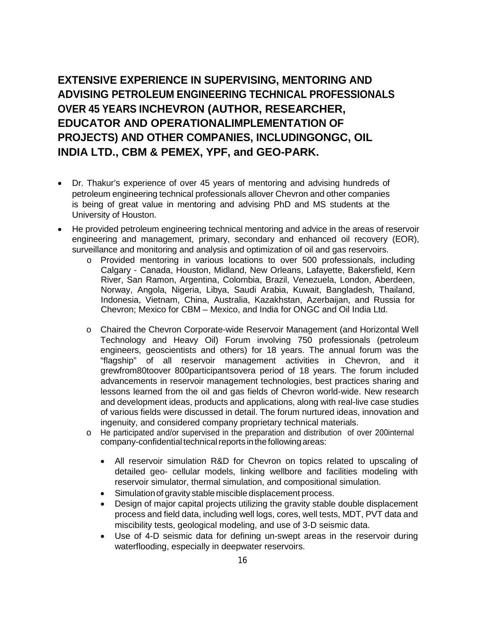**EXTENSIVE EXPERIENCE IN SUPERVISING, MENTORING AND ADVISING PETROLEUM ENGINEERING TECHNICAL PROFESSIONALS OVER 45 YEARS INCHEVRON (AUTHOR, RESEARCHER, EDUCATOR AND OPERATIONALIMPLEMENTATION OF PROJECTS) AND OTHER COMPANIES, INCLUDINGONGC, OIL INDIA LTD., CBM & PEMEX, YPF, and GEO-PARK.**

- Dr. Thakur's experience of over 45 years of mentoring and advising hundreds of petroleum engineering technical professionals allover Chevron and other companies is being of great value in mentoring and advising PhD and MS students at the University of Houston.
- He provided petroleum engineering technical mentoring and advice in the areas of reservoir engineering and management, primary, secondary and enhanced oil recovery (EOR), surveillance and monitoring and analysis and optimization of oil and gas reservoirs.
	- o Provided mentoring in various locations to over 500 professionals, including Calgary - Canada, Houston, Midland, New Orleans, Lafayette, Bakersfield, Kern River, San Ramon, Argentina, Colombia, Brazil, Venezuela, London, Aberdeen, Norway, Angola, Nigeria, Libya, Saudi Arabia, Kuwait, Bangladesh, Thailand, Indonesia, Vietnam, China, Australia, Kazakhstan, Azerbaijan, and Russia for Chevron; Mexico for CBM – Mexico, and India for ONGC and Oil India Ltd.
	- o Chaired the Chevron Corporate-wide Reservoir Management (and Horizontal Well Technology and Heavy Oil) Forum involving 750 professionals (petroleum engineers, geoscientists and others) for 18 years. The annual forum was the "flagship" of all reservoir management activities in Chevron, and it grewfrom80toover 800participantsovera period of 18 years. The forum included advancements in reservoir management technologies, best practices sharing and lessons learned from the oil and gas fields of Chevron world-wide. New research and development ideas, products and applications, along with real-live case studies of various fields were discussed in detail. The forum nurtured ideas, innovation and ingenuity, and considered company proprietary technical materials.
	- o He participated and/or supervised in the preparation and distribution of over 200internal company-confidential technical reports in the following areas:
		- All reservoir simulation R&D for Chevron on topics related to upscaling of detailed geo- cellular models, linking wellbore and facilities modeling with reservoir simulator, thermal simulation, and compositional simulation.
		- Simulationof gravity stable miscible displacement process.
		- Design of major capital projects utilizing the gravity stable double displacement process and field data, including well logs, cores, well tests, MDT, PVT data and miscibility tests, geological modeling, and use of 3-D seismic data.
		- Use of 4-D seismic data for defining un-swept areas in the reservoir during waterflooding, especially in deepwater reservoirs.